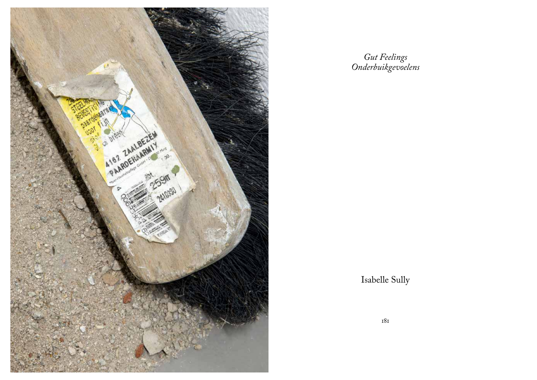

*Gut Feelings Onderbuikgevoelens* 

Isabelle Sully

181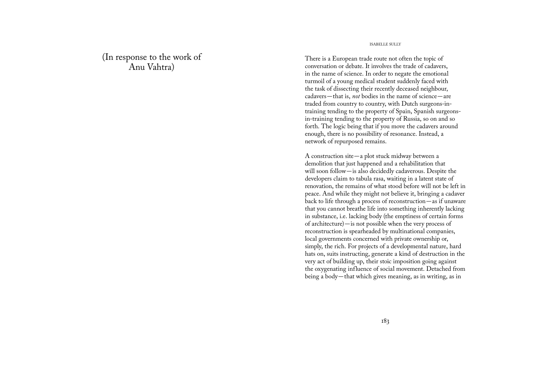(In response to the work of Anu Vahtra)

## ISABELLE SULLY

There is a European trade route not often the topic of conversation or debate. It involves the trade of cadavers, in the name of science. In order to negate the emotional turmoil of a young medical student suddenly faced with the task of dissecting their recently deceased neighbour, cadavers—that is, *not* bodies in the name of science—are traded from country to country, with Dutch surgeons-intraining tending to the property of Spain, Spanish surgeonsin-training tending to the property of Russia, so on and so forth. The logic being that if you move the cadavers around enough, there is no possibility of resonance. Instead, a network of repurposed remains.

A construction site—a plot stuck midway between a demolition that just happened and a rehabilitation that will soon follow—is also decidedly cadaverous. Despite the developers claim to tabula rasa, waiting in a latent state of renovation, the remains of what stood before will not be left in peace. And while they might not believe it, bringing a cadaver back to life through a process of reconstruction—as if unaware that you cannot breathe life into something inherently lacking in substance, i.e. lacking body (the emptiness of certain forms of architecture)—is not possible when the very process of reconstruction is spearheaded by multinational companies, local governments concerned with private ownership or, simply, the rich. For projects of a developmental nature, hard hats on, suits instructing, generate a kind of destruction in the very act of building up, their stoic imposition going against the oxygenating influence of social movement. Detached from being a body—that which gives meaning, as in writing, as in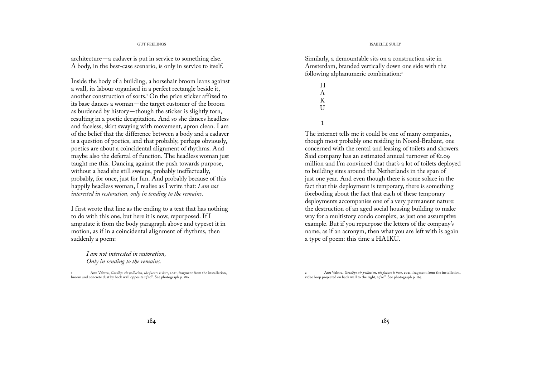## GUT FEELINGS ISABELLE SULLY

architecture—a cadaver is put in service to something else. A body, in the best-case scenario, is only in service to itself.

Inside the body of a building, a horsehair broom leans against a wall, its labour organised in a perfect rectangle beside it, another construction of sorts.<sup> $1$ </sup> On the price sticker affixed to its base dances a woman—the target customer of the broom as burdened by history—though the sticker is slightly torn, resulting in a poetic decapitation. And so she dances headless and faceless, skirt swaying with movement, apron clean. I am of the belief that the difference between a body and a cadaver is a question of poetics, and that probably, perhaps obviously, poetics are about a coincidental alignment of rhythms. And maybe also the deferral of function. The headless woman just taught me this. Dancing against the push towards purpose, without a head she still sweeps, probably ineffectually, probably, for once, just for fun. And probably because of this happily headless woman, I realise as I write that: *I am not interested in restoration, only in tending to the remains.* 

I first wrote that line as the ending to a text that has nothing to do with this one, but here it is now, repurposed. If I amputate it from the body paragraph above and typeset it in motion, as if in a coincidental alignment of rhythms, then suddenly a poem:

*I am not interested in restoration, Only in tending to the remains.*

1 Anu Vahtra, *Goodbye air pollution, the future is here*, 2021, fragment from the installation, broom and concrete dust by back wall opposite 15'20''. See photograph p. 180.

Similarly, a demountable sits on a construction site in Amsterdam, branded vertically down one side with the following alphanumeric combination:<sup>2</sup>

> H A K  $II$ 1

The internet tells me it could be one of many companies, though most probably one residing in Noord-Brabant, one concerned with the rental and leasing of toilets and showers. Said company has an estimated annual turnover of  $\epsilon_{1.09}$ million and I'm convinced that that's a lot of toilets deployed to building sites around the Netherlands in the span of just one year. And even though there is some solace in the fact that this deployment is temporary, there is something foreboding about the fact that each of these temporary deployments accompanies one of a very permanent nature: the destruction of an aged social housing building to make way for a multistory condo complex, as just one assumptive example. But if you repurpose the letters of the company's name, as if an acronym, then what you are left with is again a type of poem: this time a HA1KU.

2 Anu Vahtra, *Goodbye air pollution, the future is here*, 2021, fragment from the installation, video loop projected on back wall to the right, 15'20''. See photograph p. 165.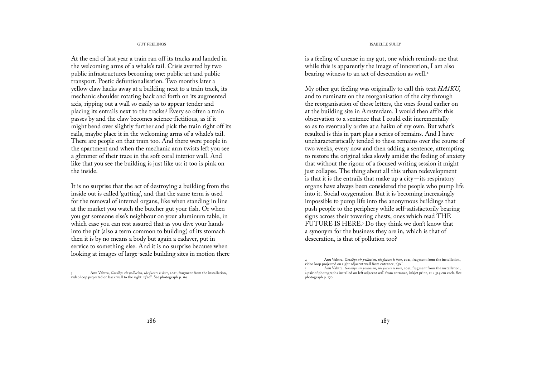### GUT FEELINGS ISABELLE SULLY

At the end of last year a train ran off its tracks and landed in the welcoming arms of a whale's tail. Crisis averted by two public infrastructures becoming one: public art and public transport. Poetic defuntionalisation. Two months later a yellow claw hacks away at a building next to a train track, its mechanic shoulder rotating back and forth on its augmented axis, ripping out a wall so easily as to appear tender and placing its entrails next to the tracks.<sup>3</sup> Every so often a train passes by and the claw becomes science-fictitious, as if it might bend over slightly further and pick the train right off its rails, maybe place it in the welcoming arms of a whale's tail. There are people on that train too. And there were people in the apartment and when the mechanic arm twists left you see a glimmer of their trace in the soft coral interior wall. And like that you see the building is just like us: it too is pink on the inside.

It is no surprise that the act of destroying a building from the inside out is called 'gutting', and that the same term is used for the removal of internal organs, like when standing in line at the market you watch the butcher gut your fish. Or when you get someone else's neighbour on your aluminum table, in which case you can rest assured that as you dive your hands into the pit (also a term common to building) of its stomach then it is by no means a body but again a cadaver, put in service to something else. And it is no surprise because when looking at images of large-scale building sites in motion there

3 Anu Vahtra, *Goodbye air pollution, the future is here*, 2021, fragment from the installation, video loop projected on back wall to the right, 15'20". See photograph p. 165.

is a feeling of unease in my gut, one which reminds me that while this is apparently the image of innovation, I am also bearing witness to an act of desecration as well.<sup>4</sup>

My other gut feeling was originally to call this text *HA1KU*, and to ruminate on the reorganisation of the city through the reorganisation of those letters, the ones found earlier on at the building site in Amsterdam. I would then affix this observation to a sentence that I could edit incrementally so as to eventually arrive at a haiku of my own. But what's resulted is this in part plus a series of remains. And I have uncharacteristically tended to these remains over the course of two weeks, every now and then adding a sentence, attempting to restore the original idea slowly amidst the feeling of anxiety that without the rigour of a focused writing session it might just collapse. The thing about all this urban redevelopment is that it is the entrails that make up a city—its respiratory organs have always been considered the people who pump life into it. Social oxygenation. But it is becoming increasingly impossible to pump life into the anonymous buildings that push people to the periphery while self-satisfactorily bearing signs across their towering chests, ones which read THE FUTURE IS HERE.<sup>5</sup> Do they think we don't know that a synonym for the business they are in, which is that of desecration, is that of pollution too?

<sup>4</sup> Anu Vahtra, *Goodbye air pollution, the future is here*, 2021, fragment from the installation, video loop projected on right adjacent wall from entrance, 1'50".

<sup>5</sup> Anu Vahtra, *Goodbye air pollution, the future is here*, 2021, fragment from the installation, a pair of photographs installed on left adjacent wall from entrance, inkjet print,  $21 \times 31.5$  cm each. See photograph p. 170.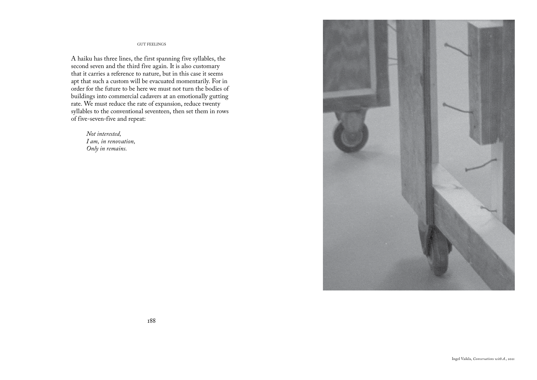A haiku has three lines, the first spanning five syllables, the second seven and the third five again. It is also customary that it carries a reference to nature, but in this case it seems apt that such a custom will be evacuated momentarily. For in order for the future to be here we must not turn the bodies of buildings into commercial cadavers at an emotionally gutting rate. We must reduce the rate of expansion, reduce twenty syllables to the conventional seventeen, then set them in rows of five-seven-five and repeat:

*Not interested, I am, in renovation, Only in remains.*

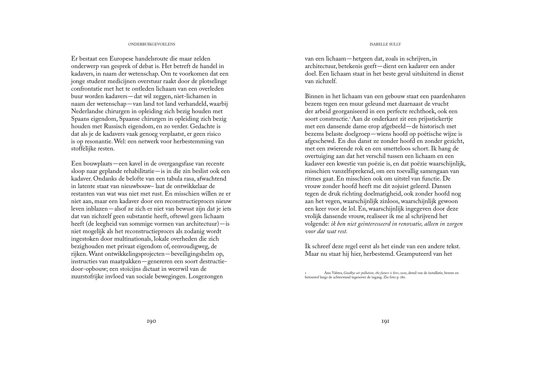# ONDERBUIKGEVOELENS ISABELLE SULLY

Er bestaat een Europese handelsroute die maar zelden onderwerp van gesprek of debat is. Het betreft de handel in kadavers, in naam der wetenschap. Om te voorkomen dat een jonge student medicijnen overstuur raakt door de plotselinge confrontatie met het te ontleden lichaam van een overleden buur worden kadavers—dat wil zeggen, niet-lichamen in naam der wetenschap—van land tot land verhandeld, waarbij Nederlandse chirurgen in opleiding zich bezig houden met Spaans eigendom, Spaanse chirurgen in opleiding zich bezig houden met Russisch eigendom, en zo verder. Gedachte is dat als je de kadavers vaak genoeg verplaatst, er geen risico is op resonantie. Wel: een netwerk voor herbestemming van stoffelijke resten.

Een bouwplaats—een kavel in de overgangsfase van recente sloop naar geplande rehabilitatie—is in die zin beslist ook een kadaver. Ondanks de belofte van een tabula rasa, afwachtend in latente staat van nieuwbouw– laat de ontwikkelaar de restanten van wat was niet met rust. En misschien willen ze er niet aan, maar een kadaver door een reconstructieproces nieuw leven inblazen—alsof ze zich er niet van bewust zijn dat je iets dat van zichzelf geen substantie heeft, oftewel geen lichaam heeft (de leegheid van sommige vormen van architectuur)—is niet mogelijk als het reconstructieproces als zodanig wordt ingestoken door multinationals, lokale overheden die zich bezighouden met privaat eigendom of, eenvoudigweg, de rijken. Want ontwikkelingsprojecten—beveiligingshelm op, instructies van maatpakken—genereren een soort destructiedoor-opbouw; een stoïcijns dictaat in weerwil van de zuurstofrijke invloed van sociale bewegingen. Losgezongen

van een lichaam—hetgeen dat, zoals in schrijven, in architectuur, betekenis geeft—dient een kadaver een ander doel. Een lichaam staat in het beste geval uitsluitend in dienst van zichzelf.

Binnen in het lichaam van een gebouw staat een paardenharen bezem tegen een muur geleund met daarnaast de vrucht der arbeid georganiseerd in een perfecte rechthoek, ook een soort constructie.<sup>1</sup> Aan de onderkant zit een prijsstickertje met een dansende dame erop afgebeeld—de historisch met bezems belaste doelgroep—wiens hoofd op poëtische wijze is afgeschewd. En dus danst ze zonder hoofd en zonder gezicht, met een zwierende rok en een smetteloos schort. Ik hang de overtuiging aan dat het verschil tussen een lichaam en een kadaver een kwestie van poëzie is, en dat poëzie waarschijnlijk, misschien vanzelfsprekend, om een toevallig samengaan van ritmes gaat. En misschien ook om uitstel van functie. De vrouw zonder hoofd heeft me dit zojuist geleerd. Dansen tegen de druk richting doelmatigheid, ook zonder hoofd nog aan het vegen, waarschijnlijk zinloos, waarschijnlijk gewoon een keer voor de lol. En, waarschijnlijk ingegeven door deze vrolijk dansende vrouw, realiseer ik me al schrijvend het volgende: *ik ben niet geïnteresseerd in renovatie, alleen in zorgen voor dat wat rest.* 

Ik schreef deze regel eerst als het einde van een andere tekst. Maar nu staat hij hier, herbestemd. Geamputeerd van het

1 Anu Vahtra, *Goodbye air pollution, the future is here*, 2021, detail van de installatie, bezem en betonstof langs de achterwand tegenover de ingang. Zie foto p. 180.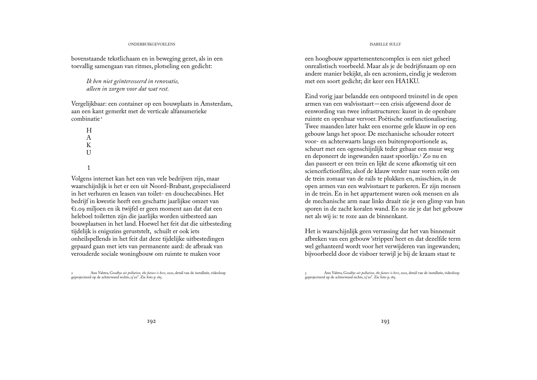## ONDERBUIKGEVOELENS ISABELLE SULLY

bovenstaande tekstlichaam en in beweging gezet, als in een toevallig samengaan van ritmes, plotseling een gedicht:

> *Ik ben niet geïnteresseerd in renovatie, alleen in zorgen voor dat wat rest.*

Vergelijkbaar: een container op een bouwplaats in Amsterdam, aan een kant gemerkt met de verticale alfanumerieke combinatie <sup>2</sup>

H A K  $U$ 

1

Volgens internet kan het een van vele bedrijven zijn, maar waarschijnlijk is het er een uit Noord-Brabant, gespecialiseerd in het verhuren en leasen van toilet- en douchecabines. Het bedrijf in kwestie heeft een geschatte jaarlijkse omzet van €1.09 miljoen en ik twijfel er geen moment aan dat dat een heleboel toiletten zijn die jaarlijks worden uitbesteed aan bouwplaatsen in het land. Hoewel het feit dat die uitbesteding tijdelijk is enigszins geruststelt, schuilt er ook iets onheilspellends in het feit dat deze tijdelijke uitbestedingen gepaard gaan met iets van permanente aard: de afbraak van verouderde sociale woningbouw om ruimte te maken voor

2 Anu Vahtra, G*oodbye air pollution, the future is here*, 2021, detail van de installatie, videoloop geprojecteerd op de achterwand rechts, 15'20''. Zie foto p. 165.

een hoogbouw appartementencomplex is een niet geheel onrealistisch voorbeeld. Maar als je de bedrijfsnaam op een andere manier bekijkt, als een acroniem, eindig je wederom met een soort gedicht; dit keer een HA1KU.

Eind vorig jaar belandde een ontspoord treinstel in de open armen van een walvisstaart—een crisis afgewend door de eenwording van twee infrastructuren: kunst in de openbare ruimte en openbaar vervoer. Poëtische ontfunctionalisering. Twee maanden later hakt een enorme gele klauw in op een gebouw langs het spoor. De mechanische schouder roteert voor- en achterwaarts langs een buitenproportionele as, scheurt met een ogenschijnlijk teder gebaar een muur weg en deponeert de ingewanden naast spoorlijn.<sup>3</sup> Zo nu en dan passeert er een trein en lijkt de scene afkomstig uit een sciencefictionfilm; alsof de klauw verder naar voren reikt om de trein zomaar van de rails te plukken en, misschien, in de open armen van een walvisstaart te parkeren. Er zijn mensen in de trein. En in het appartement waren ook mensen en als de mechanische arm naar links draait zie je een glimp van hun sporen in de zacht koralen wand. En zo zie je dat het gebouw net als wij is: te roze aan de binnenkant.

Het is waarschijnlijk geen verrassing dat het van binnenuit afbreken van een gebouw 'strippen' heet en dat dezelfde term wel gehanteerd wordt voor het verwijderen van ingewanden; bijvoorbeeld door de visboer terwijl je bij de kraam staat te

<sup>3</sup> Anu Vahtra, G*oodbye air pollution, the future is here*, 2021, detail van de installatie, videoloop geprojecteerd op de achterwand rechts, 15'20''. Zie foto p. 165.